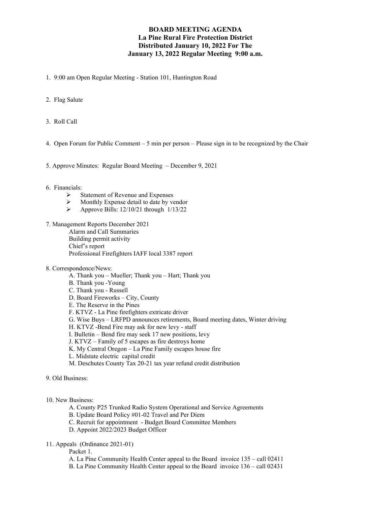## **BOARD MEETING AGENDA La Pine Rural Fire Protection District Distributed January 10, 2022 For The January 13, 2022 Regular Meeting 9:00 a.m.**

1. 9:00 am Open Regular Meeting - Station 101, Huntington Road

- 2. Flag Salute
- 3. Roll Call
- 4. Open Forum for Public Comment 5 min per person Please sign in to be recognized by the Chair

5. Approve Minutes: Regular Board Meeting – December 9, 2021

#### 6. Financials:

- $\triangleright$  Statement of Revenue and Expenses
- $\triangleright$  Monthly Expense detail to date by vendor<br> $\triangleright$  Approve Bills: 12/10/21 through 1/13/22
- Approve Bills: 12/10/21 through 1/13/22
- 7. Management Reports December 2021

Alarm and Call Summaries Building permit activity Chief's report Professional Firefighters IAFF local 3387 report

- 8. Correspondence/News:
	- A. Thank you Mueller; Thank you Hart; Thank you
	- B. Thank you -Young
	- C. Thank you Russell
	- D. Board Fireworks City, County
	- E. The Reserve in the Pines
	- F. KTVZ La Pine firefighters extricate driver
	- G. Wise Buys LRFPD announces retirements, Board meeting dates, Winter driving
	- H. KTVZ -Bend Fire may ask for new levy staff
	- I. Bulletin Bend fire may seek 17 new positions, levy
	- J. KTVZ Family of 5 escapes as fire destroys home
	- K. My Central Oregon La Pine Family escapes house fire
	- L. Midstate electric capital credit
	- M. Deschutes County Tax 20-21 tax year refund credit distribution

9. Old Business:

10. New Business:

- A. County P25 Trunked Radio System Operational and Service Agreements
- B. Update Board Policy #01-02 Travel and Per Diem
- C. Recruit for appointment Budget Board Committee Members
- D. Appoint 2022/2023 Budget Officer

11. Appeals (Ordinance 2021-01)

Packet 1.

- A. La Pine Community Health Center appeal to the Board invoice 135 call 02411
- B. La Pine Community Health Center appeal to the Board invoice 136 call 02431